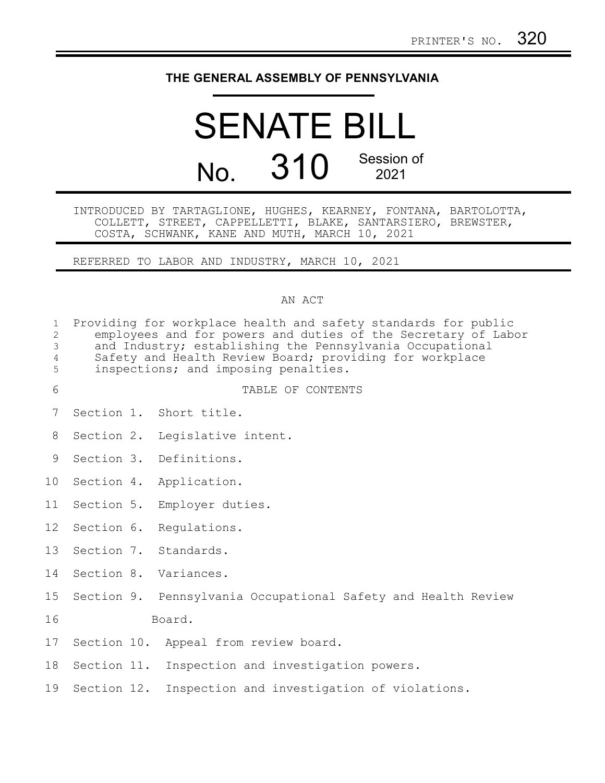## **THE GENERAL ASSEMBLY OF PENNSYLVANIA**

## SENATE BILL No. 310 Session of 2021

INTRODUCED BY TARTAGLIONE, HUGHES, KEARNEY, FONTANA, BARTOLOTTA, COLLETT, STREET, CAPPELLETTI, BLAKE, SANTARSIERO, BREWSTER, COSTA, SCHWANK, KANE AND MUTH, MARCH 10, 2021

REFERRED TO LABOR AND INDUSTRY, MARCH 10, 2021

## AN ACT

| $\mathbf{1}$<br>$\overline{2}$<br>$\mathfrak{Z}$<br>$\overline{4}$<br>5 | Providing for workplace health and safety standards for public<br>employees and for powers and duties of the Secretary of Labor<br>and Industry; establishing the Pennsylvania Occupational<br>Safety and Health Review Board; providing for workplace<br>inspections; and imposing penalties. |  |                                                               |
|-------------------------------------------------------------------------|------------------------------------------------------------------------------------------------------------------------------------------------------------------------------------------------------------------------------------------------------------------------------------------------|--|---------------------------------------------------------------|
| 6                                                                       |                                                                                                                                                                                                                                                                                                |  | TABLE OF CONTENTS                                             |
| 7                                                                       |                                                                                                                                                                                                                                                                                                |  | Section 1. Short title.                                       |
| 8                                                                       |                                                                                                                                                                                                                                                                                                |  | Section 2. Legislative intent.                                |
| 9                                                                       |                                                                                                                                                                                                                                                                                                |  | Section 3. Definitions.                                       |
| 10 <sub>1</sub>                                                         |                                                                                                                                                                                                                                                                                                |  | Section 4. Application.                                       |
| 11                                                                      |                                                                                                                                                                                                                                                                                                |  | Section 5. Employer duties.                                   |
| 12 <sup>°</sup>                                                         |                                                                                                                                                                                                                                                                                                |  | Section 6. Requlations.                                       |
| 13                                                                      |                                                                                                                                                                                                                                                                                                |  | Section 7. Standards.                                         |
| 14                                                                      |                                                                                                                                                                                                                                                                                                |  | Section 8. Variances.                                         |
| 15                                                                      |                                                                                                                                                                                                                                                                                                |  | Section 9. Pennsylvania Occupational Safety and Health Review |
| 16                                                                      |                                                                                                                                                                                                                                                                                                |  | Board.                                                        |
| 17                                                                      |                                                                                                                                                                                                                                                                                                |  | Section 10. Appeal from review board.                         |
| 18                                                                      |                                                                                                                                                                                                                                                                                                |  | Section 11. Inspection and investigation powers.              |
| 19                                                                      |                                                                                                                                                                                                                                                                                                |  | Section 12. Inspection and investigation of violations.       |
|                                                                         |                                                                                                                                                                                                                                                                                                |  |                                                               |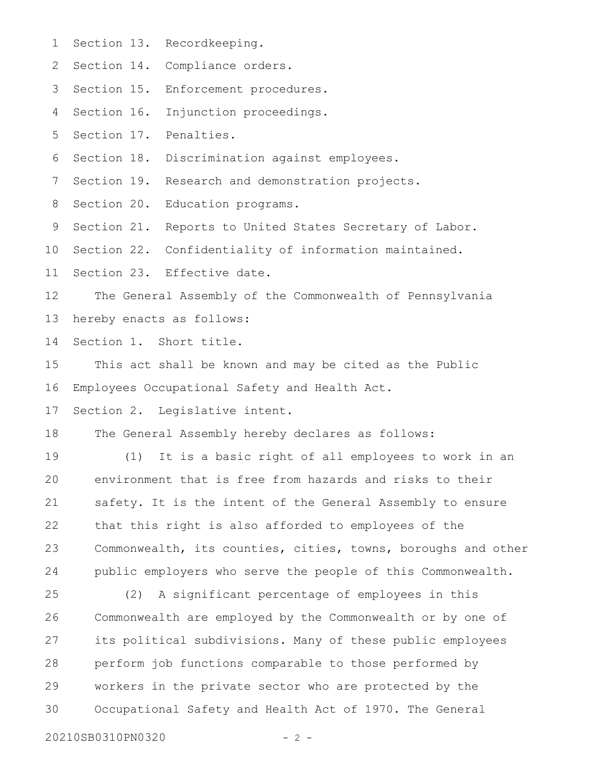- Section 13. Recordkeeping. 1
- 2 Section 14. Compliance orders.
- 3 Section 15. Enforcement procedures.
- Section 16. Injunction proceedings. 4
- Section 17. Penalties. 5
- Section 18. Discrimination against employees. 6
- Section 19. Research and demonstration projects. 7
- Section 20. Education programs. 8
- Section 21. Reports to United States Secretary of Labor. 9
- Section 22. Confidentiality of information maintained. 10
- Section 23. Effective date. 11
- The General Assembly of the Commonwealth of Pennsylvania hereby enacts as follows: 12 13
- Section 1. Short title. 14
- This act shall be known and may be cited as the Public Employees Occupational Safety and Health Act. 15 16
- Section 2. Legislative intent. 17
- The General Assembly hereby declares as follows: 18
- (1) It is a basic right of all employees to work in an environment that is free from hazards and risks to their safety. It is the intent of the General Assembly to ensure that this right is also afforded to employees of the Commonwealth, its counties, cities, towns, boroughs and other public employers who serve the people of this Commonwealth. 19 20 21 22 23 24
- (2) A significant percentage of employees in this Commonwealth are employed by the Commonwealth or by one of its political subdivisions. Many of these public employees perform job functions comparable to those performed by workers in the private sector who are protected by the Occupational Safety and Health Act of 1970. The General 25 26 27 28 29 30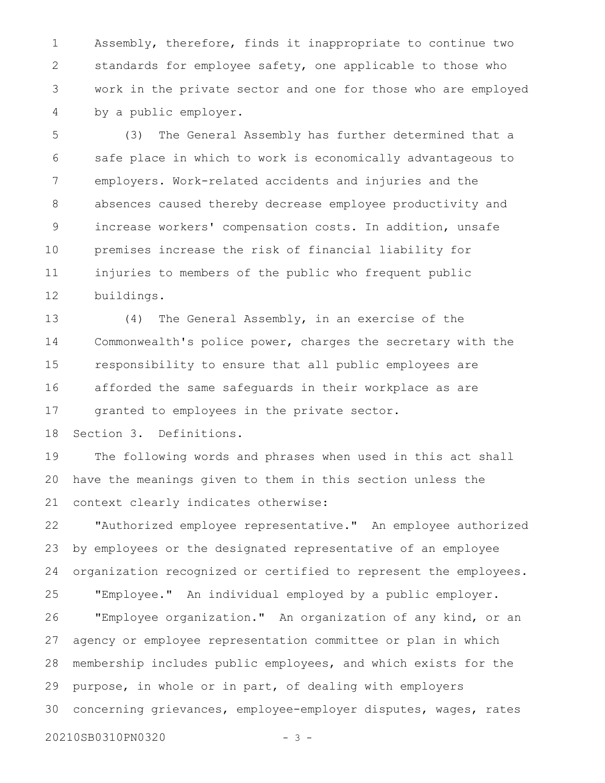Assembly, therefore, finds it inappropriate to continue two standards for employee safety, one applicable to those who work in the private sector and one for those who are employed by a public employer. 1 2 3 4

(3) The General Assembly has further determined that a safe place in which to work is economically advantageous to employers. Work-related accidents and injuries and the absences caused thereby decrease employee productivity and increase workers' compensation costs. In addition, unsafe premises increase the risk of financial liability for injuries to members of the public who frequent public buildings. 5 6 7 8 9 10 11 12

(4) The General Assembly, in an exercise of the Commonwealth's police power, charges the secretary with the responsibility to ensure that all public employees are afforded the same safeguards in their workplace as are granted to employees in the private sector. 13 14 15 16 17

Section 3. Definitions. 18

The following words and phrases when used in this act shall have the meanings given to them in this section unless the context clearly indicates otherwise: 19 20 21

"Authorized employee representative." An employee authorized by employees or the designated representative of an employee organization recognized or certified to represent the employees. "Employee." An individual employed by a public employer. "Employee organization." An organization of any kind, or an agency or employee representation committee or plan in which membership includes public employees, and which exists for the purpose, in whole or in part, of dealing with employers concerning grievances, employee-employer disputes, wages, rates 22 23 24 25 26 27 28 29 30

20210SB0310PN0320 - 3 -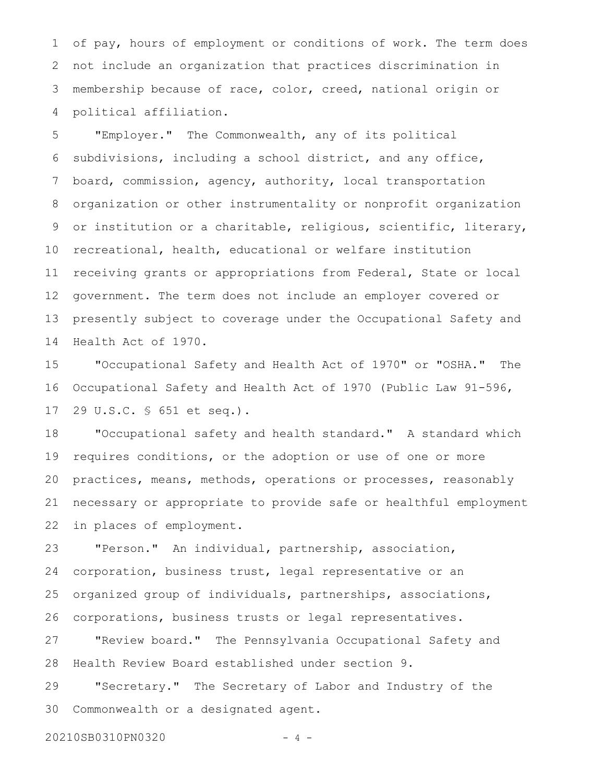of pay, hours of employment or conditions of work. The term does not include an organization that practices discrimination in membership because of race, color, creed, national origin or political affiliation. 1 2 3 4

"Employer." The Commonwealth, any of its political subdivisions, including a school district, and any office, board, commission, agency, authority, local transportation organization or other instrumentality or nonprofit organization or institution or a charitable, religious, scientific, literary, recreational, health, educational or welfare institution receiving grants or appropriations from Federal, State or local government. The term does not include an employer covered or presently subject to coverage under the Occupational Safety and Health Act of 1970. 5 6 7 8 9 10 11 12 13 14

"Occupational Safety and Health Act of 1970" or "OSHA." The Occupational Safety and Health Act of 1970 (Public Law 91-596, 29 U.S.C. § 651 et seq.). 15 16 17

"Occupational safety and health standard." A standard which requires conditions, or the adoption or use of one or more practices, means, methods, operations or processes, reasonably necessary or appropriate to provide safe or healthful employment in places of employment. 18 19 20 21 22

"Person." An individual, partnership, association, corporation, business trust, legal representative or an organized group of individuals, partnerships, associations, corporations, business trusts or legal representatives. 23 24 25 26

"Review board." The Pennsylvania Occupational Safety and Health Review Board established under section 9. 27 28

"Secretary." The Secretary of Labor and Industry of the Commonwealth or a designated agent. 29 30

20210SB0310PN0320 - 4 -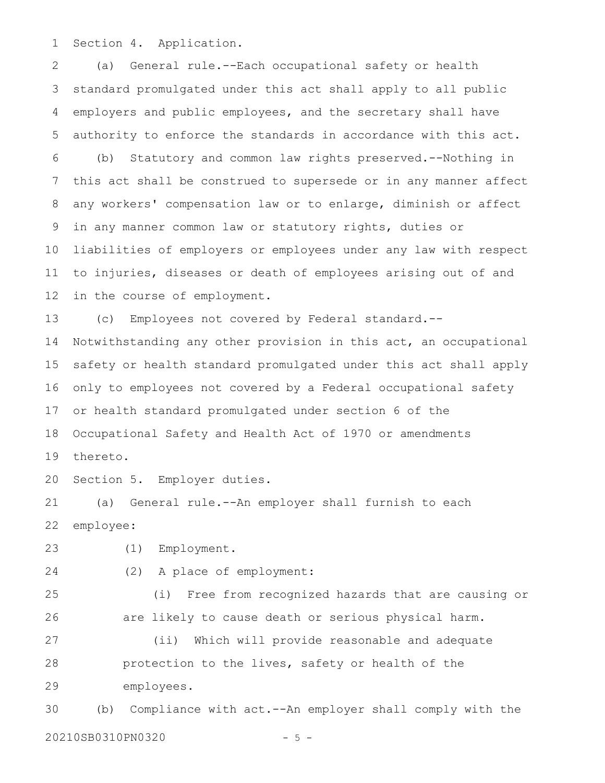Section 4. Application. 1

(a) General rule.--Each occupational safety or health standard promulgated under this act shall apply to all public employers and public employees, and the secretary shall have authority to enforce the standards in accordance with this act. (b) Statutory and common law rights preserved.--Nothing in this act shall be construed to supersede or in any manner affect any workers' compensation law or to enlarge, diminish or affect in any manner common law or statutory rights, duties or liabilities of employers or employees under any law with respect to injuries, diseases or death of employees arising out of and in the course of employment. 2 3 4 5 6 7 8 9 10 11 12

(c) Employees not covered by Federal standard.-- Notwithstanding any other provision in this act, an occupational safety or health standard promulgated under this act shall apply only to employees not covered by a Federal occupational safety or health standard promulgated under section 6 of the Occupational Safety and Health Act of 1970 or amendments thereto. 13 14 15 16 17 18 19

Section 5. Employer duties. 20

(a) General rule.--An employer shall furnish to each employee: 21 22

- (1) Employment. 23
- 24

(2) A place of employment:

(i) Free from recognized hazards that are causing or are likely to cause death or serious physical harm. (ii) Which will provide reasonable and adequate protection to the lives, safety or health of the employees. 25 26 27 28 29

(b) Compliance with act.--An employer shall comply with the 20210SB0310PN0320 - 5 - 30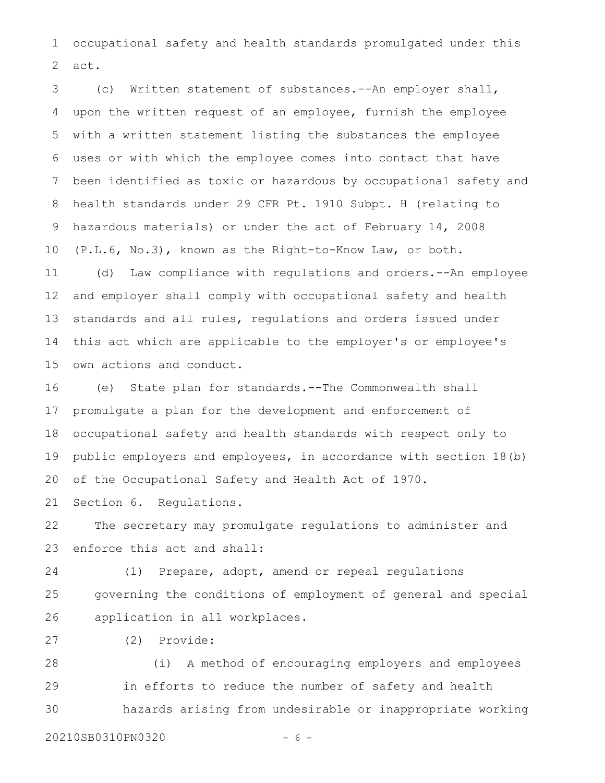occupational safety and health standards promulgated under this act. 1 2

(c) Written statement of substances.--An employer shall, upon the written request of an employee, furnish the employee with a written statement listing the substances the employee uses or with which the employee comes into contact that have been identified as toxic or hazardous by occupational safety and health standards under 29 CFR Pt. 1910 Subpt. H (relating to hazardous materials) or under the act of February 14, 2008 (P.L.6, No.3), known as the Right-to-Know Law, or both. (d) Law compliance with regulations and orders.--An employee and employer shall comply with occupational safety and health standards and all rules, regulations and orders issued under 3 4 5 6 7 8 9 10 11 12 13

this act which are applicable to the employer's or employee's own actions and conduct. 14 15

(e) State plan for standards.--The Commonwealth shall promulgate a plan for the development and enforcement of occupational safety and health standards with respect only to public employers and employees, in accordance with section 18(b) of the Occupational Safety and Health Act of 1970. 16 17 18 19 20

Section 6. Regulations. 21

The secretary may promulgate regulations to administer and enforce this act and shall: 22 23

(1) Prepare, adopt, amend or repeal regulations governing the conditions of employment of general and special application in all workplaces. 24 25 26

(2) Provide: 27

(i) A method of encouraging employers and employees in efforts to reduce the number of safety and health hazards arising from undesirable or inappropriate working 28 29 30

20210SB0310PN0320 - 6 -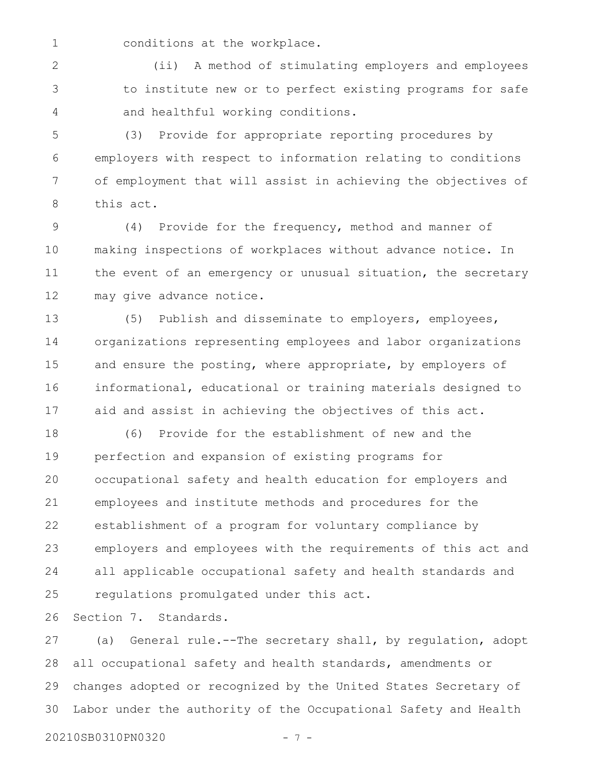1

conditions at the workplace.

(ii) A method of stimulating employers and employees to institute new or to perfect existing programs for safe and healthful working conditions. 2 3 4

(3) Provide for appropriate reporting procedures by employers with respect to information relating to conditions of employment that will assist in achieving the objectives of this act. 5 6 7 8

(4) Provide for the frequency, method and manner of making inspections of workplaces without advance notice. In the event of an emergency or unusual situation, the secretary may give advance notice. 9 10 11 12

(5) Publish and disseminate to employers, employees, organizations representing employees and labor organizations and ensure the posting, where appropriate, by employers of informational, educational or training materials designed to aid and assist in achieving the objectives of this act. 13 14 15 16 17

(6) Provide for the establishment of new and the perfection and expansion of existing programs for occupational safety and health education for employers and employees and institute methods and procedures for the establishment of a program for voluntary compliance by employers and employees with the requirements of this act and all applicable occupational safety and health standards and regulations promulgated under this act. 18 19 20 21 22 23 24 25

Section 7. Standards. 26

(a) General rule.--The secretary shall, by regulation, adopt all occupational safety and health standards, amendments or changes adopted or recognized by the United States Secretary of Labor under the authority of the Occupational Safety and Health 27 28 29 30

20210SB0310PN0320 - 7 -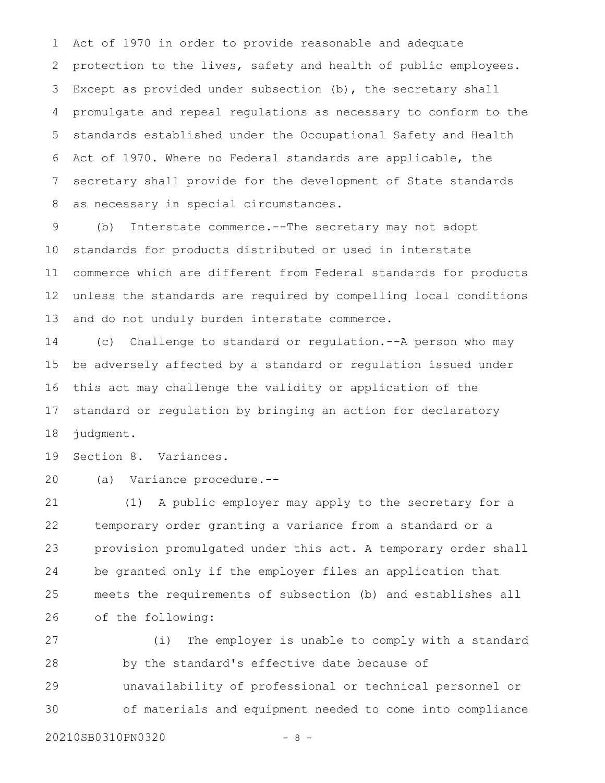Act of 1970 in order to provide reasonable and adequate protection to the lives, safety and health of public employees. Except as provided under subsection (b), the secretary shall promulgate and repeal regulations as necessary to conform to the standards established under the Occupational Safety and Health Act of 1970. Where no Federal standards are applicable, the secretary shall provide for the development of State standards as necessary in special circumstances. 1 2 3 4 5 6 7 8

(b) Interstate commerce.--The secretary may not adopt standards for products distributed or used in interstate commerce which are different from Federal standards for products unless the standards are required by compelling local conditions and do not unduly burden interstate commerce. 9 10 11 12 13

(c) Challenge to standard or regulation.--A person who may be adversely affected by a standard or regulation issued under this act may challenge the validity or application of the standard or regulation by bringing an action for declaratory judgment. 14 15 16 17 18

Section 8. Variances. 19

(a) Variance procedure.-- 20

(1) A public employer may apply to the secretary for a temporary order granting a variance from a standard or a provision promulgated under this act. A temporary order shall be granted only if the employer files an application that meets the requirements of subsection (b) and establishes all of the following: 21 22 23 24 25 26

(i) The employer is unable to comply with a standard by the standard's effective date because of unavailability of professional or technical personnel or of materials and equipment needed to come into compliance 27 28 29 30

20210SB0310PN0320 - 8 -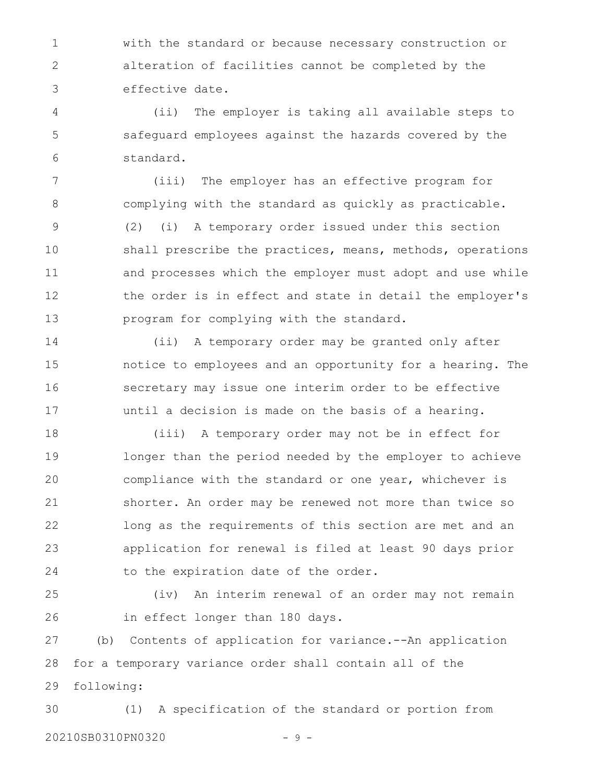with the standard or because necessary construction or alteration of facilities cannot be completed by the effective date. 1 2 3

(ii) The employer is taking all available steps to safeguard employees against the hazards covered by the standard. 4 5 6

(iii) The employer has an effective program for complying with the standard as quickly as practicable. (2) (i) A temporary order issued under this section shall prescribe the practices, means, methods, operations and processes which the employer must adopt and use while the order is in effect and state in detail the employer's program for complying with the standard. 7 8 9 10 11 12 13

(ii) A temporary order may be granted only after notice to employees and an opportunity for a hearing. The secretary may issue one interim order to be effective until a decision is made on the basis of a hearing. 14 15 16 17

(iii) A temporary order may not be in effect for longer than the period needed by the employer to achieve compliance with the standard or one year, whichever is shorter. An order may be renewed not more than twice so long as the requirements of this section are met and an application for renewal is filed at least 90 days prior to the expiration date of the order. 18 19 20 21 22 23 24

(iv) An interim renewal of an order may not remain in effect longer than 180 days. 25 26

(b) Contents of application for variance.--An application for a temporary variance order shall contain all of the following: 27 28 29

(1) A specification of the standard or portion from 20210SB0310PN0320 - 9 -30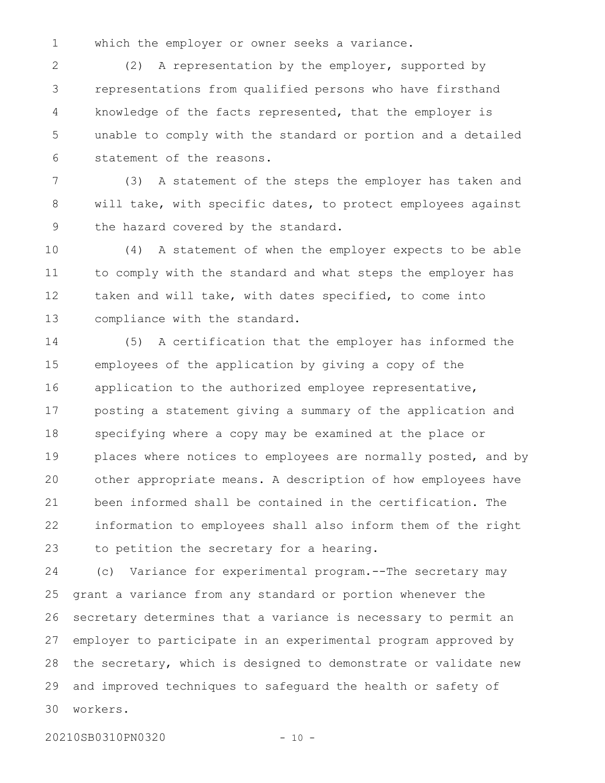1

which the employer or owner seeks a variance.

(2) A representation by the employer, supported by representations from qualified persons who have firsthand knowledge of the facts represented, that the employer is unable to comply with the standard or portion and a detailed statement of the reasons. 2 3 4 5 6

(3) A statement of the steps the employer has taken and will take, with specific dates, to protect employees against the hazard covered by the standard. 7 8 9

(4) A statement of when the employer expects to be able to comply with the standard and what steps the employer has taken and will take, with dates specified, to come into compliance with the standard. 10 11 12 13

(5) A certification that the employer has informed the employees of the application by giving a copy of the application to the authorized employee representative, posting a statement giving a summary of the application and specifying where a copy may be examined at the place or places where notices to employees are normally posted, and by other appropriate means. A description of how employees have been informed shall be contained in the certification. The information to employees shall also inform them of the right to petition the secretary for a hearing. 14 15 16 17 18 19 20 21 22 23

(c) Variance for experimental program.--The secretary may grant a variance from any standard or portion whenever the secretary determines that a variance is necessary to permit an employer to participate in an experimental program approved by the secretary, which is designed to demonstrate or validate new and improved techniques to safeguard the health or safety of workers. 24 25 26 27 28 29 30

20210SB0310PN0320 - 10 -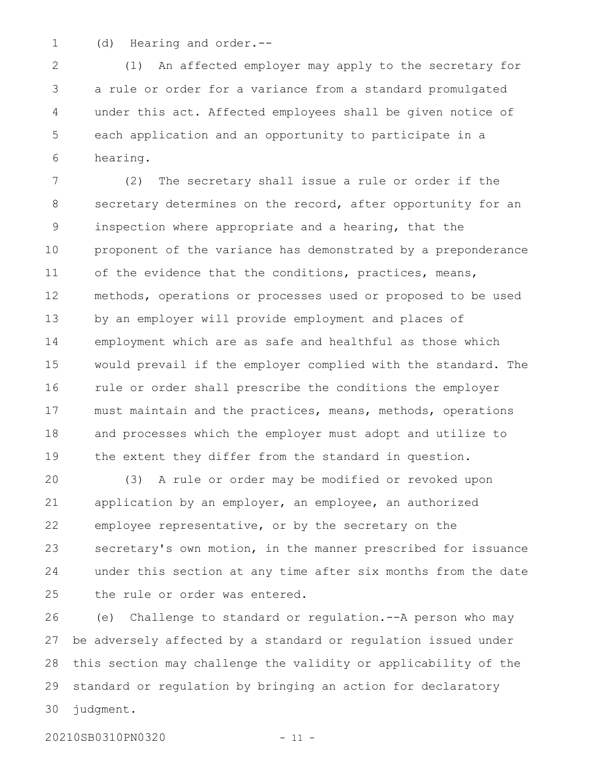- 1
- (d) Hearing and order.--

(1) An affected employer may apply to the secretary for a rule or order for a variance from a standard promulgated under this act. Affected employees shall be given notice of each application and an opportunity to participate in a hearing. 2 3 4 5 6

(2) The secretary shall issue a rule or order if the secretary determines on the record, after opportunity for an inspection where appropriate and a hearing, that the proponent of the variance has demonstrated by a preponderance of the evidence that the conditions, practices, means, methods, operations or processes used or proposed to be used by an employer will provide employment and places of employment which are as safe and healthful as those which would prevail if the employer complied with the standard. The rule or order shall prescribe the conditions the employer must maintain and the practices, means, methods, operations and processes which the employer must adopt and utilize to the extent they differ from the standard in question. 7 8 9 10 11 12 13 14 15 16 17 18 19

(3) A rule or order may be modified or revoked upon application by an employer, an employee, an authorized employee representative, or by the secretary on the secretary's own motion, in the manner prescribed for issuance under this section at any time after six months from the date the rule or order was entered. 20 21 22 23 24 25

(e) Challenge to standard or regulation.--A person who may be adversely affected by a standard or regulation issued under this section may challenge the validity or applicability of the standard or regulation by bringing an action for declaratory judgment. 26 27 28 29 30

20210SB0310PN0320 - 11 -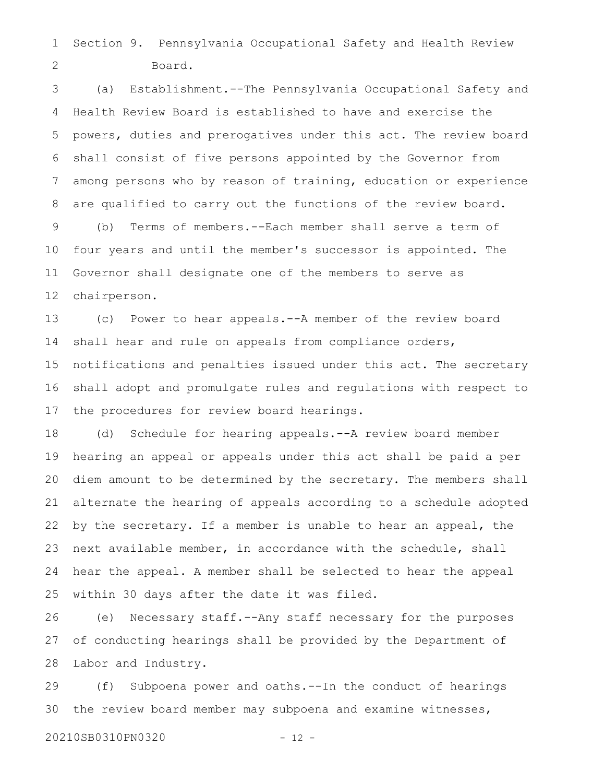Section 9. Pennsylvania Occupational Safety and Health Review Board. 1 2

(a) Establishment.--The Pennsylvania Occupational Safety and Health Review Board is established to have and exercise the powers, duties and prerogatives under this act. The review board shall consist of five persons appointed by the Governor from among persons who by reason of training, education or experience are qualified to carry out the functions of the review board. (b) Terms of members.--Each member shall serve a term of four years and until the member's successor is appointed. The Governor shall designate one of the members to serve as chairperson. 3 4 5 6 7 8 9 10 11 12

(c) Power to hear appeals.--A member of the review board shall hear and rule on appeals from compliance orders, notifications and penalties issued under this act. The secretary shall adopt and promulgate rules and regulations with respect to the procedures for review board hearings. 13 14 15 16 17

(d) Schedule for hearing appeals.--A review board member hearing an appeal or appeals under this act shall be paid a per diem amount to be determined by the secretary. The members shall alternate the hearing of appeals according to a schedule adopted by the secretary. If a member is unable to hear an appeal, the next available member, in accordance with the schedule, shall hear the appeal. A member shall be selected to hear the appeal within 30 days after the date it was filed. 18 19 20 21 22 23 24 25

(e) Necessary staff.--Any staff necessary for the purposes of conducting hearings shall be provided by the Department of Labor and Industry. 26 27 28

(f) Subpoena power and oaths.--In the conduct of hearings the review board member may subpoena and examine witnesses, 29 30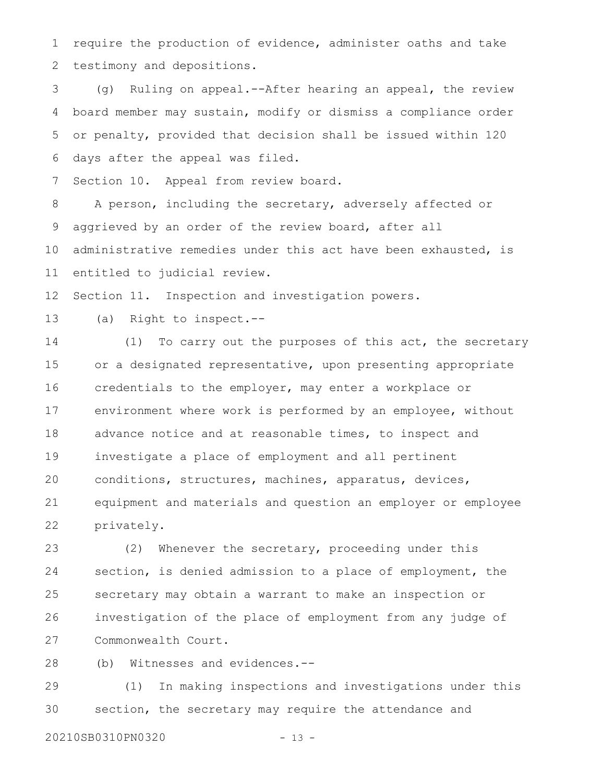require the production of evidence, administer oaths and take testimony and depositions. 1 2

(g) Ruling on appeal.--After hearing an appeal, the review board member may sustain, modify or dismiss a compliance order or penalty, provided that decision shall be issued within 120 days after the appeal was filed. 3 4 5 6

Section 10. Appeal from review board. 7

A person, including the secretary, adversely affected or aggrieved by an order of the review board, after all administrative remedies under this act have been exhausted, is entitled to judicial review. 8 9 10 11

Section 11. Inspection and investigation powers. 12

(a) Right to inspect.-- 13

(1) To carry out the purposes of this act, the secretary or a designated representative, upon presenting appropriate credentials to the employer, may enter a workplace or environment where work is performed by an employee, without advance notice and at reasonable times, to inspect and investigate a place of employment and all pertinent conditions, structures, machines, apparatus, devices, equipment and materials and question an employer or employee privately. 14 15 16 17 18 19 20 21 22

(2) Whenever the secretary, proceeding under this section, is denied admission to a place of employment, the secretary may obtain a warrant to make an inspection or investigation of the place of employment from any judge of Commonwealth Court. 23 24 25 26 27

(b) Witnesses and evidences.-- 28

(1) In making inspections and investigations under this section, the secretary may require the attendance and 29 30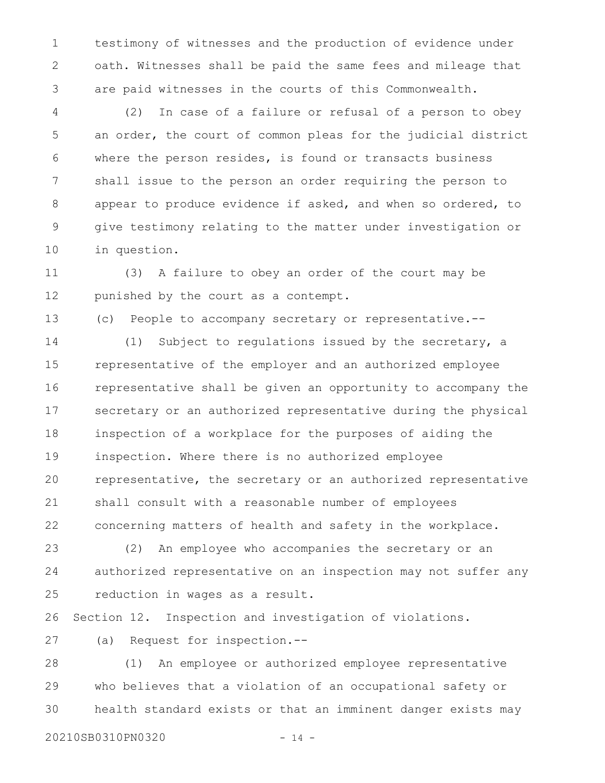testimony of witnesses and the production of evidence under oath. Witnesses shall be paid the same fees and mileage that are paid witnesses in the courts of this Commonwealth. 1 2 3

(2) In case of a failure or refusal of a person to obey an order, the court of common pleas for the judicial district where the person resides, is found or transacts business shall issue to the person an order requiring the person to appear to produce evidence if asked, and when so ordered, to give testimony relating to the matter under investigation or in question. 4 5 6 7 8 9 10

(3) A failure to obey an order of the court may be punished by the court as a contempt. 11 12

(c) People to accompany secretary or representative.-- 13

(1) Subject to regulations issued by the secretary, a representative of the employer and an authorized employee representative shall be given an opportunity to accompany the secretary or an authorized representative during the physical inspection of a workplace for the purposes of aiding the inspection. Where there is no authorized employee representative, the secretary or an authorized representative shall consult with a reasonable number of employees concerning matters of health and safety in the workplace. 14 15 16 17 18 19 20 21 22

(2) An employee who accompanies the secretary or an authorized representative on an inspection may not suffer any reduction in wages as a result. 23 24 25

Section 12. Inspection and investigation of violations. 26

(a) Request for inspection.-- 27

(1) An employee or authorized employee representative who believes that a violation of an occupational safety or health standard exists or that an imminent danger exists may 28 29 30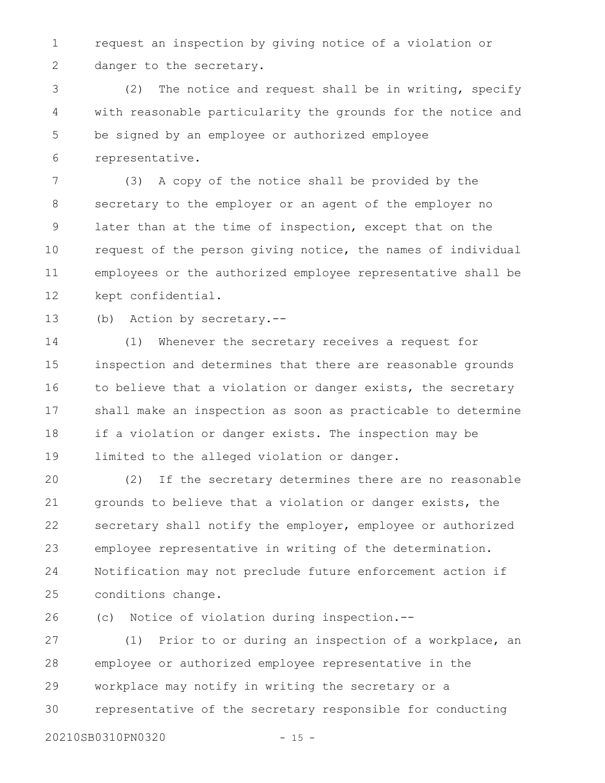request an inspection by giving notice of a violation or danger to the secretary. 1 2

(2) The notice and request shall be in writing, specify with reasonable particularity the grounds for the notice and be signed by an employee or authorized employee representative. 3 4 5 6

(3) A copy of the notice shall be provided by the secretary to the employer or an agent of the employer no later than at the time of inspection, except that on the request of the person giving notice, the names of individual employees or the authorized employee representative shall be kept confidential. 7 8 9 10 11 12

(b) Action by secretary.-- 13

(1) Whenever the secretary receives a request for inspection and determines that there are reasonable grounds to believe that a violation or danger exists, the secretary shall make an inspection as soon as practicable to determine if a violation or danger exists. The inspection may be limited to the alleged violation or danger. 14 15 16 17 18 19

(2) If the secretary determines there are no reasonable grounds to believe that a violation or danger exists, the secretary shall notify the employer, employee or authorized employee representative in writing of the determination. Notification may not preclude future enforcement action if conditions change. 20 21 22 23 24 25

(c) Notice of violation during inspection.-- 26

(1) Prior to or during an inspection of a workplace, an employee or authorized employee representative in the workplace may notify in writing the secretary or a representative of the secretary responsible for conducting 27 28 29 30

20210SB0310PN0320 - 15 -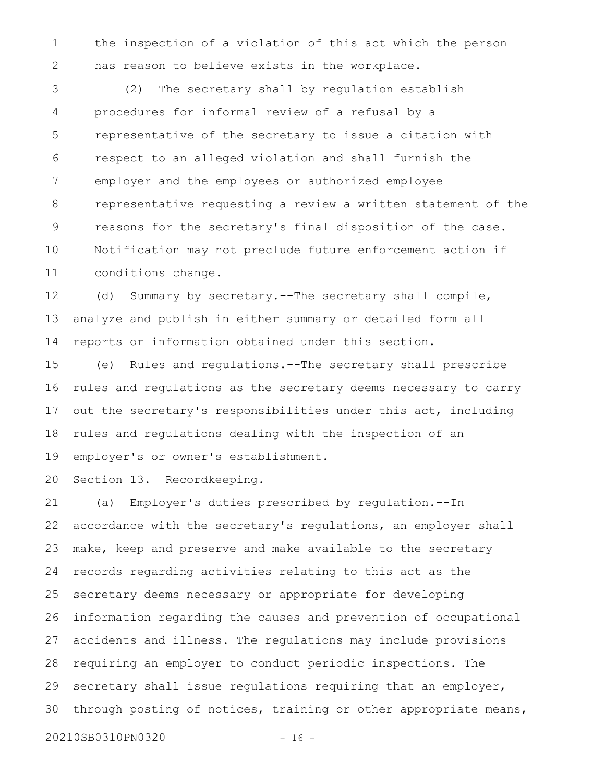the inspection of a violation of this act which the person has reason to believe exists in the workplace. 1 2

(2) The secretary shall by regulation establish procedures for informal review of a refusal by a representative of the secretary to issue a citation with respect to an alleged violation and shall furnish the employer and the employees or authorized employee representative requesting a review a written statement of the reasons for the secretary's final disposition of the case. Notification may not preclude future enforcement action if conditions change. 3 4 5 6 7 8 9 10 11

(d) Summary by secretary.--The secretary shall compile, analyze and publish in either summary or detailed form all reports or information obtained under this section. 12 13 14

(e) Rules and regulations.--The secretary shall prescribe rules and regulations as the secretary deems necessary to carry out the secretary's responsibilities under this act, including rules and regulations dealing with the inspection of an employer's or owner's establishment. 15 16 17 18 19

Section 13. Recordkeeping. 20

(a) Employer's duties prescribed by regulation.--In accordance with the secretary's regulations, an employer shall make, keep and preserve and make available to the secretary records regarding activities relating to this act as the secretary deems necessary or appropriate for developing information regarding the causes and prevention of occupational accidents and illness. The regulations may include provisions requiring an employer to conduct periodic inspections. The secretary shall issue requlations requiring that an employer, through posting of notices, training or other appropriate means, 21 22 23 24 25 26 27 28 29 30

20210SB0310PN0320 - 16 -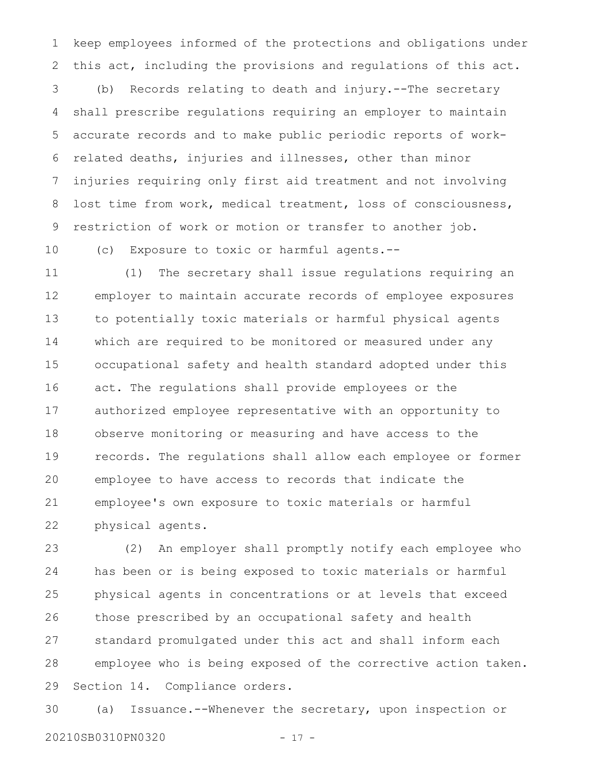keep employees informed of the protections and obligations under this act, including the provisions and regulations of this act. (b) Records relating to death and injury.--The secretary shall prescribe regulations requiring an employer to maintain accurate records and to make public periodic reports of workrelated deaths, injuries and illnesses, other than minor injuries requiring only first aid treatment and not involving lost time from work, medical treatment, loss of consciousness, restriction of work or motion or transfer to another job. 1 2 3 4 5 6 7 8 9

(c) Exposure to toxic or harmful agents.--

10

(1) The secretary shall issue regulations requiring an employer to maintain accurate records of employee exposures to potentially toxic materials or harmful physical agents which are required to be monitored or measured under any occupational safety and health standard adopted under this act. The regulations shall provide employees or the authorized employee representative with an opportunity to observe monitoring or measuring and have access to the records. The regulations shall allow each employee or former employee to have access to records that indicate the employee's own exposure to toxic materials or harmful physical agents. 11 12 13 14 15 16 17 18 19 20 21 22

(2) An employer shall promptly notify each employee who has been or is being exposed to toxic materials or harmful physical agents in concentrations or at levels that exceed those prescribed by an occupational safety and health standard promulgated under this act and shall inform each employee who is being exposed of the corrective action taken. Section 14. Compliance orders. 23 24 25 26 27 28 29

(a) Issuance.--Whenever the secretary, upon inspection or 20210SB0310PN0320 - 17 - 30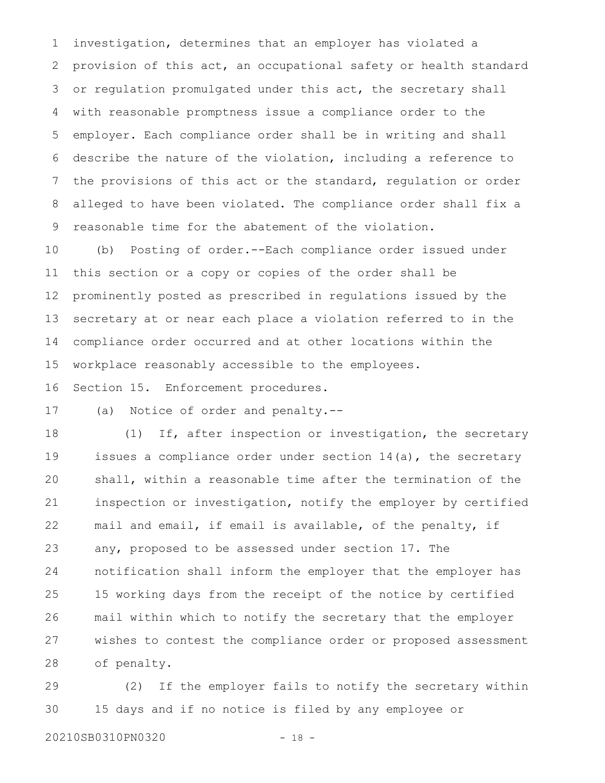investigation, determines that an employer has violated a provision of this act, an occupational safety or health standard or regulation promulgated under this act, the secretary shall with reasonable promptness issue a compliance order to the employer. Each compliance order shall be in writing and shall describe the nature of the violation, including a reference to the provisions of this act or the standard, regulation or order alleged to have been violated. The compliance order shall fix a reasonable time for the abatement of the violation. 1 2 3 4 5 6 7 8 9

(b) Posting of order.--Each compliance order issued under this section or a copy or copies of the order shall be prominently posted as prescribed in regulations issued by the secretary at or near each place a violation referred to in the compliance order occurred and at other locations within the workplace reasonably accessible to the employees. 10 11 12 13 14 15

Section 15. Enforcement procedures. 16

(a) Notice of order and penalty.-- 17

(1) If, after inspection or investigation, the secretary issues a compliance order under section 14(a), the secretary shall, within a reasonable time after the termination of the inspection or investigation, notify the employer by certified mail and email, if email is available, of the penalty, if any, proposed to be assessed under section 17. The notification shall inform the employer that the employer has 15 working days from the receipt of the notice by certified mail within which to notify the secretary that the employer wishes to contest the compliance order or proposed assessment of penalty. 18 19 20 21 22 23 24 25 26 27 28

(2) If the employer fails to notify the secretary within 15 days and if no notice is filed by any employee or 29 30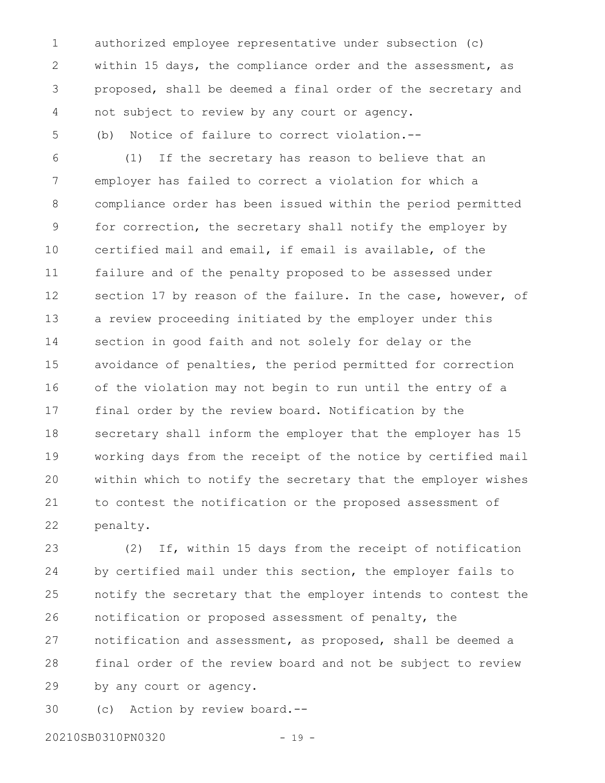authorized employee representative under subsection (c) within 15 days, the compliance order and the assessment, as proposed, shall be deemed a final order of the secretary and not subject to review by any court or agency. (b) Notice of failure to correct violation.-- 1 2 3 4 5

(1) If the secretary has reason to believe that an employer has failed to correct a violation for which a compliance order has been issued within the period permitted for correction, the secretary shall notify the employer by certified mail and email, if email is available, of the failure and of the penalty proposed to be assessed under section 17 by reason of the failure. In the case, however, of a review proceeding initiated by the employer under this section in good faith and not solely for delay or the avoidance of penalties, the period permitted for correction of the violation may not begin to run until the entry of a final order by the review board. Notification by the secretary shall inform the employer that the employer has 15 working days from the receipt of the notice by certified mail within which to notify the secretary that the employer wishes to contest the notification or the proposed assessment of penalty. 6 7 8 9 10 11 12 13 14 15 16 17 18 19 20 21 22

(2) If, within 15 days from the receipt of notification by certified mail under this section, the employer fails to notify the secretary that the employer intends to contest the notification or proposed assessment of penalty, the notification and assessment, as proposed, shall be deemed a final order of the review board and not be subject to review by any court or agency. 23 24 25 26 27 28 29

(c) Action by review board.-- 30

20210SB0310PN0320 - 19 -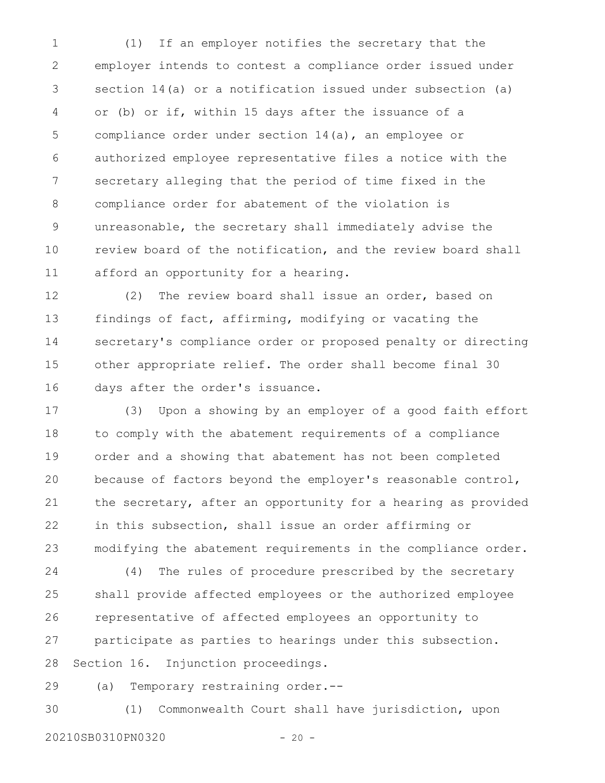(1) If an employer notifies the secretary that the employer intends to contest a compliance order issued under section 14(a) or a notification issued under subsection (a) or (b) or if, within 15 days after the issuance of a compliance order under section 14(a), an employee or authorized employee representative files a notice with the secretary alleging that the period of time fixed in the compliance order for abatement of the violation is unreasonable, the secretary shall immediately advise the review board of the notification, and the review board shall afford an opportunity for a hearing. 1 2 3 4 5 6 7 8 9 10 11

(2) The review board shall issue an order, based on findings of fact, affirming, modifying or vacating the secretary's compliance order or proposed penalty or directing other appropriate relief. The order shall become final 30 days after the order's issuance. 12 13 14 15 16

(3) Upon a showing by an employer of a good faith effort to comply with the abatement requirements of a compliance order and a showing that abatement has not been completed because of factors beyond the employer's reasonable control, the secretary, after an opportunity for a hearing as provided in this subsection, shall issue an order affirming or modifying the abatement requirements in the compliance order. 17 18 19 20 21 22 23

(4) The rules of procedure prescribed by the secretary shall provide affected employees or the authorized employee representative of affected employees an opportunity to participate as parties to hearings under this subsection. Section 16. Injunction proceedings. 24 25 26 27 28

(a) Temporary restraining order.-- 29

(1) Commonwealth Court shall have jurisdiction, upon 20210SB0310PN0320 - 20 - 30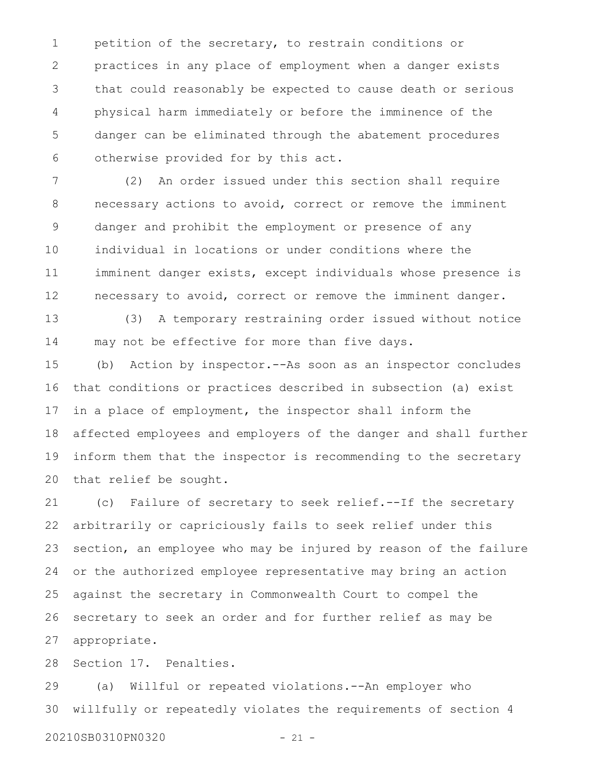petition of the secretary, to restrain conditions or practices in any place of employment when a danger exists that could reasonably be expected to cause death or serious physical harm immediately or before the imminence of the danger can be eliminated through the abatement procedures otherwise provided for by this act. 1 2 3 4 5 6

(2) An order issued under this section shall require necessary actions to avoid, correct or remove the imminent danger and prohibit the employment or presence of any individual in locations or under conditions where the imminent danger exists, except individuals whose presence is necessary to avoid, correct or remove the imminent danger. 7 8 9 10 11 12

(3) A temporary restraining order issued without notice may not be effective for more than five days. 13 14

(b) Action by inspector.--As soon as an inspector concludes that conditions or practices described in subsection (a) exist in a place of employment, the inspector shall inform the affected employees and employers of the danger and shall further inform them that the inspector is recommending to the secretary that relief be sought. 15 16 17 18 19 20

(c) Failure of secretary to seek relief.--If the secretary arbitrarily or capriciously fails to seek relief under this section, an employee who may be injured by reason of the failure or the authorized employee representative may bring an action against the secretary in Commonwealth Court to compel the secretary to seek an order and for further relief as may be appropriate. 21 22 23 24 25 26 27

Section 17. Penalties. 28

(a) Willful or repeated violations.--An employer who willfully or repeatedly violates the requirements of section 4 29 30

20210SB0310PN0320 - 21 -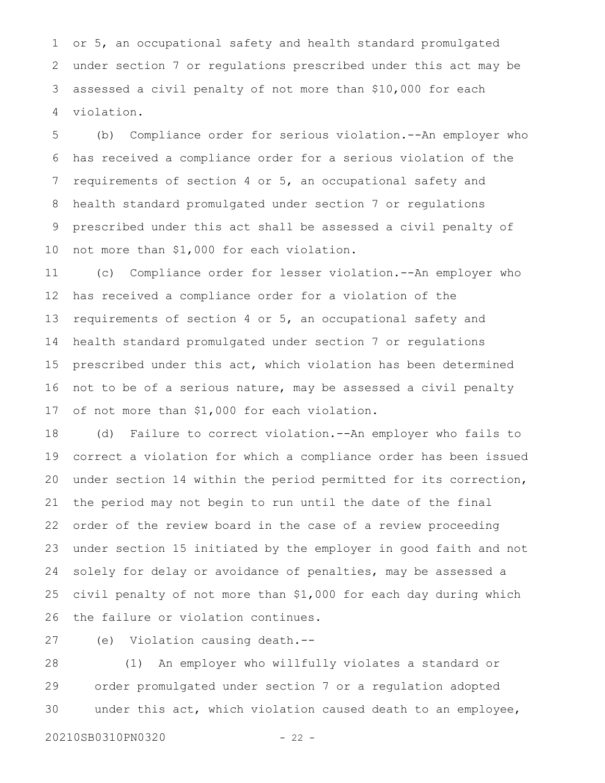or 5, an occupational safety and health standard promulgated under section 7 or regulations prescribed under this act may be assessed a civil penalty of not more than \$10,000 for each violation. 1 2 3 4

(b) Compliance order for serious violation.--An employer who has received a compliance order for a serious violation of the requirements of section 4 or 5, an occupational safety and health standard promulgated under section 7 or regulations prescribed under this act shall be assessed a civil penalty of not more than \$1,000 for each violation. 5 6 7 8 9 10

(c) Compliance order for lesser violation.--An employer who has received a compliance order for a violation of the requirements of section 4 or 5, an occupational safety and health standard promulgated under section 7 or regulations prescribed under this act, which violation has been determined not to be of a serious nature, may be assessed a civil penalty of not more than \$1,000 for each violation. 11 12 13 14 15 16 17

(d) Failure to correct violation.--An employer who fails to correct a violation for which a compliance order has been issued under section 14 within the period permitted for its correction, the period may not begin to run until the date of the final order of the review board in the case of a review proceeding under section 15 initiated by the employer in good faith and not solely for delay or avoidance of penalties, may be assessed a civil penalty of not more than \$1,000 for each day during which the failure or violation continues. 18 19 20 21 22 23 24 25 26

(e) Violation causing death.-- 27

(1) An employer who willfully violates a standard or order promulgated under section 7 or a regulation adopted under this act, which violation caused death to an employee, 28 29 30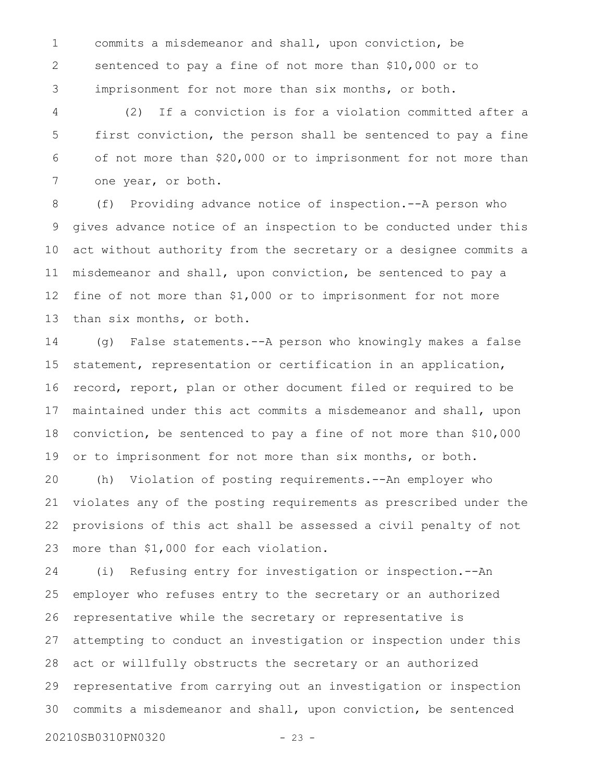commits a misdemeanor and shall, upon conviction, be sentenced to pay a fine of not more than \$10,000 or to imprisonment for not more than six months, or both. 1 2 3

(2) If a conviction is for a violation committed after a first conviction, the person shall be sentenced to pay a fine of not more than \$20,000 or to imprisonment for not more than one year, or both. 4 5 6 7

(f) Providing advance notice of inspection.--A person who gives advance notice of an inspection to be conducted under this act without authority from the secretary or a designee commits a misdemeanor and shall, upon conviction, be sentenced to pay a fine of not more than \$1,000 or to imprisonment for not more than six months, or both. 8 9 10 11 12 13

(g) False statements.--A person who knowingly makes a false statement, representation or certification in an application, record, report, plan or other document filed or required to be maintained under this act commits a misdemeanor and shall, upon conviction, be sentenced to pay a fine of not more than \$10,000 or to imprisonment for not more than six months, or both. 14 15 16 17 18 19

(h) Violation of posting requirements.--An employer who violates any of the posting requirements as prescribed under the provisions of this act shall be assessed a civil penalty of not more than \$1,000 for each violation. 20 21 22 23

(i) Refusing entry for investigation or inspection.--An employer who refuses entry to the secretary or an authorized representative while the secretary or representative is attempting to conduct an investigation or inspection under this act or willfully obstructs the secretary or an authorized representative from carrying out an investigation or inspection commits a misdemeanor and shall, upon conviction, be sentenced 24 25 26 27 28 29 30

20210SB0310PN0320 - 23 -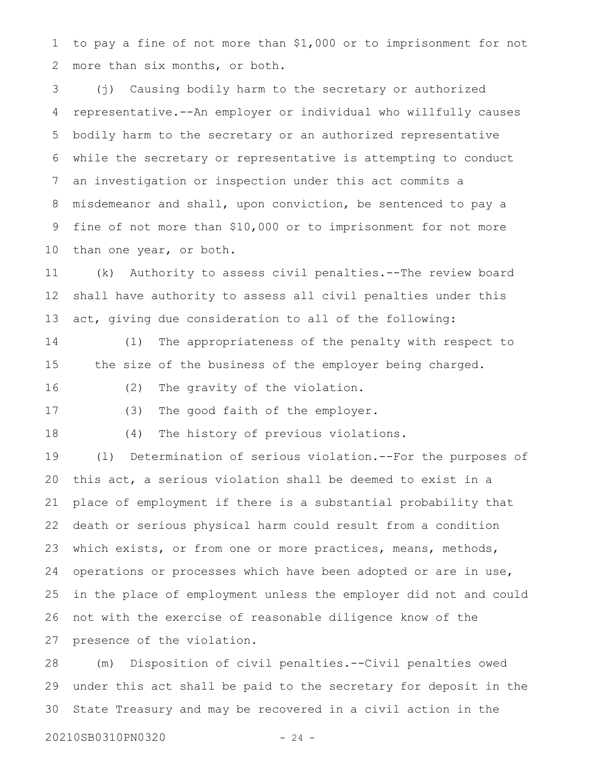to pay a fine of not more than \$1,000 or to imprisonment for not more than six months, or both. 1 2

(j) Causing bodily harm to the secretary or authorized representative.--An employer or individual who willfully causes bodily harm to the secretary or an authorized representative while the secretary or representative is attempting to conduct an investigation or inspection under this act commits a misdemeanor and shall, upon conviction, be sentenced to pay a fine of not more than \$10,000 or to imprisonment for not more than one year, or both. 3 4 5 6 7 8 9 10

(k) Authority to assess civil penalties.--The review board shall have authority to assess all civil penalties under this act, giving due consideration to all of the following: 11 12 13

(1) The appropriateness of the penalty with respect to the size of the business of the employer being charged. 14 15

16

17

(2) The gravity of the violation.

(3) The good faith of the employer.

18

(4) The history of previous violations.

(l) Determination of serious violation.--For the purposes of this act, a serious violation shall be deemed to exist in a place of employment if there is a substantial probability that death or serious physical harm could result from a condition which exists, or from one or more practices, means, methods, operations or processes which have been adopted or are in use, in the place of employment unless the employer did not and could not with the exercise of reasonable diligence know of the presence of the violation. 19 20 21 22 23 24 25 26 27

(m) Disposition of civil penalties.--Civil penalties owed under this act shall be paid to the secretary for deposit in the State Treasury and may be recovered in a civil action in the 28 29 30

20210SB0310PN0320 - 24 -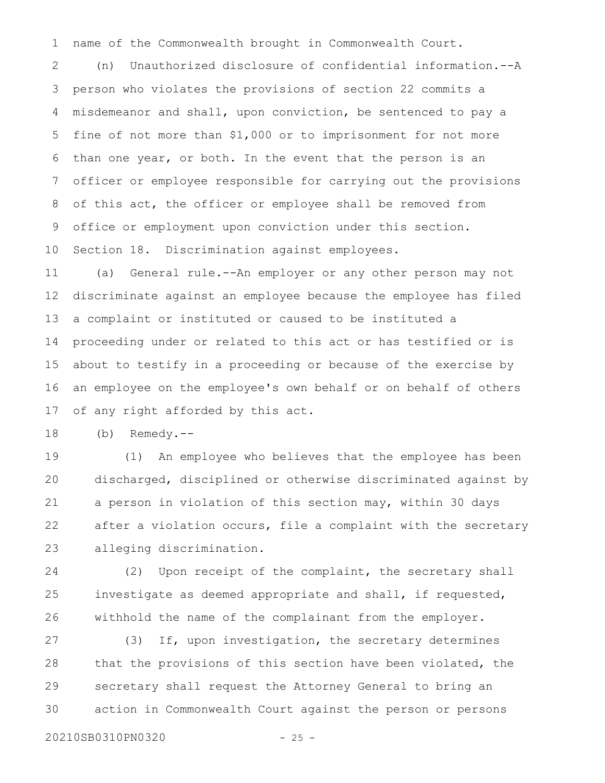name of the Commonwealth brought in Commonwealth Court. 1

(n) Unauthorized disclosure of confidential information.--A person who violates the provisions of section 22 commits a misdemeanor and shall, upon conviction, be sentenced to pay a fine of not more than \$1,000 or to imprisonment for not more than one year, or both. In the event that the person is an officer or employee responsible for carrying out the provisions of this act, the officer or employee shall be removed from office or employment upon conviction under this section. Section 18. Discrimination against employees. 2 3 4 5 6 7 8 9 10

(a) General rule.--An employer or any other person may not discriminate against an employee because the employee has filed a complaint or instituted or caused to be instituted a proceeding under or related to this act or has testified or is about to testify in a proceeding or because of the exercise by an employee on the employee's own behalf or on behalf of others of any right afforded by this act. 11 12 13 14 15 16 17

(b) Remedy.-- 18

(1) An employee who believes that the employee has been discharged, disciplined or otherwise discriminated against by a person in violation of this section may, within 30 days after a violation occurs, file a complaint with the secretary alleging discrimination. 19 20 21 22 23

(2) Upon receipt of the complaint, the secretary shall investigate as deemed appropriate and shall, if requested, withhold the name of the complainant from the employer. 24 25 26

(3) If, upon investigation, the secretary determines that the provisions of this section have been violated, the secretary shall request the Attorney General to bring an action in Commonwealth Court against the person or persons 27 28 29 30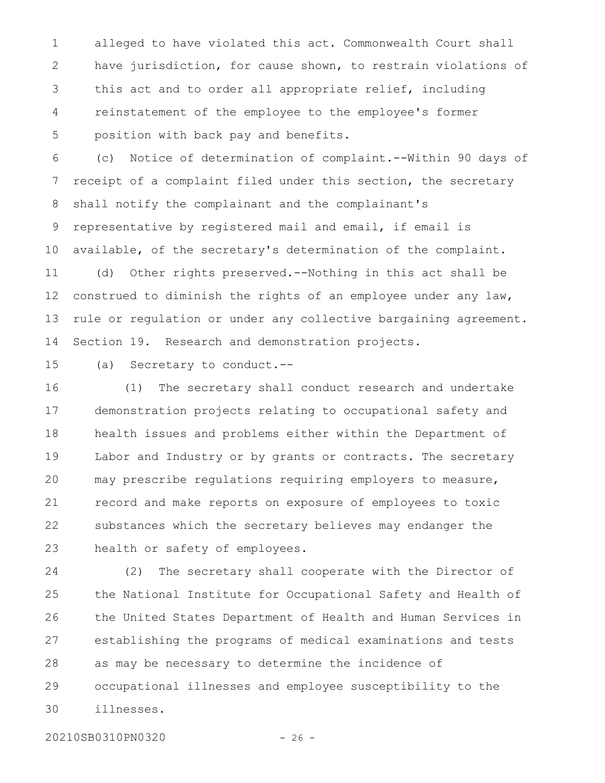alleged to have violated this act. Commonwealth Court shall have jurisdiction, for cause shown, to restrain violations of this act and to order all appropriate relief, including reinstatement of the employee to the employee's former position with back pay and benefits. 1 2 3 4 5

(c) Notice of determination of complaint.--Within 90 days of receipt of a complaint filed under this section, the secretary shall notify the complainant and the complainant's representative by registered mail and email, if email is available, of the secretary's determination of the complaint. (d) Other rights preserved.--Nothing in this act shall be construed to diminish the rights of an employee under any law, rule or regulation or under any collective bargaining agreement. Section 19. Research and demonstration projects. 6 7 8 9 10 11 12 13 14

(a) Secretary to conduct.-- 15

(1) The secretary shall conduct research and undertake demonstration projects relating to occupational safety and health issues and problems either within the Department of Labor and Industry or by grants or contracts. The secretary may prescribe regulations requiring employers to measure, record and make reports on exposure of employees to toxic substances which the secretary believes may endanger the health or safety of employees. 16 17 18 19 20 21 22 23

(2) The secretary shall cooperate with the Director of the National Institute for Occupational Safety and Health of the United States Department of Health and Human Services in establishing the programs of medical examinations and tests as may be necessary to determine the incidence of occupational illnesses and employee susceptibility to the illnesses. 24 25 26 27 28 29 30

20210SB0310PN0320 - 26 -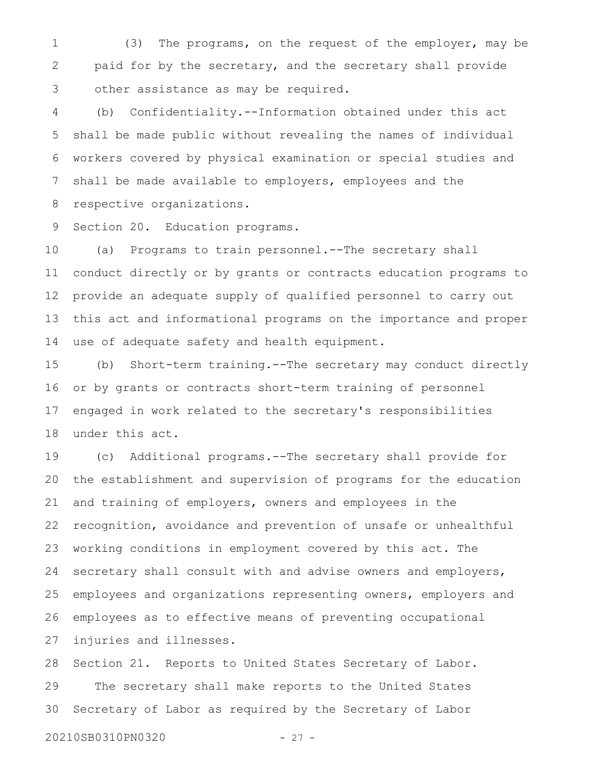(3) The programs, on the request of the employer, may be paid for by the secretary, and the secretary shall provide other assistance as may be required. 1 2 3

(b) Confidentiality.--Information obtained under this act shall be made public without revealing the names of individual workers covered by physical examination or special studies and shall be made available to employers, employees and the respective organizations. 4 5 6 7 8

Section 20. Education programs. 9

(a) Programs to train personnel.--The secretary shall conduct directly or by grants or contracts education programs to provide an adequate supply of qualified personnel to carry out this act and informational programs on the importance and proper use of adequate safety and health equipment. 10 11 12 13 14

(b) Short-term training.--The secretary may conduct directly or by grants or contracts short-term training of personnel engaged in work related to the secretary's responsibilities under this act. 15 16 17 18

(c) Additional programs.--The secretary shall provide for the establishment and supervision of programs for the education and training of employers, owners and employees in the recognition, avoidance and prevention of unsafe or unhealthful working conditions in employment covered by this act. The secretary shall consult with and advise owners and employers, employees and organizations representing owners, employers and employees as to effective means of preventing occupational injuries and illnesses. 19 20 21 22 23 24 25 26 27

Section 21. Reports to United States Secretary of Labor. The secretary shall make reports to the United States Secretary of Labor as required by the Secretary of Labor 28 29 30

20210SB0310PN0320 - 27 -